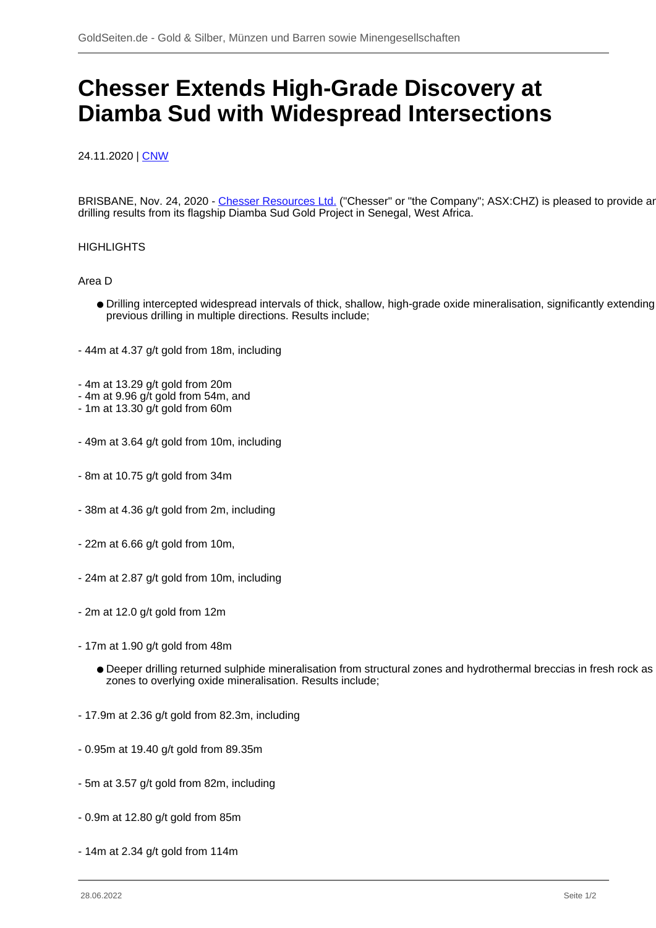## **Chesser Extends High-Grade Discovery at Diamba Sud with Widespread Intersections**

## 24.11.2020 | [CNW](/profil/224--CNW)

BRISBANE, Nov. 24, 2020 - [Chesser Resources Ltd.](/minen/2224--Chesser-Resources-Ltd) ("Chesser" or "the Company"; ASX:CHZ) is pleased to provide an drilling results from its flagship Diamba Sud Gold Project in Senegal, West Africa.

## **HIGHLIGHTS**

Area D

- Drilling intercepted widespread intervals of thick, shallow, high-grade oxide mineralisation, significantly extending previous drilling in multiple directions. Results include;
- 44m at 4.37 g/t gold from 18m, including
- 4m at 13.29 g/t gold from 20m
- 4m at 9.96 g/t gold from 54m, and
- 1m at 13.30 g/t gold from 60m
- 49m at 3.64 g/t gold from 10m, including
- 8m at 10.75 g/t gold from 34m
- 38m at 4.36 g/t gold from 2m, including
- 22m at 6.66 g/t gold from 10m,
- 24m at 2.87 g/t gold from 10m, including
- 2m at 12.0 g/t gold from 12m
- 17m at 1.90 g/t gold from 48m
	- Deeper drilling returned sulphide mineralisation from structural zones and hydrothermal breccias in fresh rock as likely feeder zones to overlying oxide mineralisation. Results include;
- 17.9m at 2.36 g/t gold from 82.3m, including
- 0.95m at 19.40 g/t gold from 89.35m
- 5m at 3.57 g/t gold from 82m, including
- 0.9m at 12.80 g/t gold from 85m
- 14m at 2.34 g/t gold from 114m